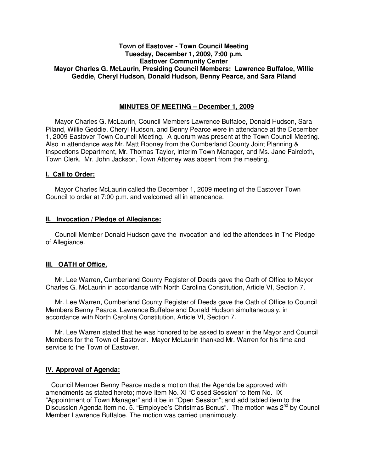## **Town of Eastover - Town Council Meeting Tuesday, December 1, 2009, 7:00 p.m. Eastover Community Center Mayor Charles G. McLaurin, Presiding Council Members: Lawrence Buffaloe, Willie Geddie, Cheryl Hudson, Donald Hudson, Benny Pearce, and Sara Piland**

### **MINUTES OF MEETING – December 1, 2009**

Mayor Charles G. McLaurin, Council Members Lawrence Buffaloe, Donald Hudson, Sara Piland, Willie Geddie, Cheryl Hudson, and Benny Pearce were in attendance at the December 1, 2009 Eastover Town Council Meeting. A quorum was present at the Town Council Meeting. Also in attendance was Mr. Matt Rooney from the Cumberland County Joint Planning & Inspections Department, Mr. Thomas Taylor, Interim Town Manager, and Ms. Jane Faircloth, Town Clerk. Mr. John Jackson, Town Attorney was absent from the meeting.

#### **I. Call to Order:**

Mayor Charles McLaurin called the December 1, 2009 meeting of the Eastover Town Council to order at 7:00 p.m. and welcomed all in attendance.

#### **II. Invocation / Pledge of Allegiance:**

 Council Member Donald Hudson gave the invocation and led the attendees in The Pledge of Allegiance.

### **III. OATH of Office.**

 Mr. Lee Warren, Cumberland County Register of Deeds gave the Oath of Office to Mayor Charles G. McLaurin in accordance with North Carolina Constitution, Article VI, Section 7.

 Mr. Lee Warren, Cumberland County Register of Deeds gave the Oath of Office to Council Members Benny Pearce, Lawrence Buffaloe and Donald Hudson simultaneously, in accordance with North Carolina Constitution, Article VI, Section 7.

 Mr. Lee Warren stated that he was honored to be asked to swear in the Mayor and Council Members for the Town of Eastover. Mayor McLaurin thanked Mr. Warren for his time and service to the Town of Eastover.

## **IV. Approval of Agenda:**

 Council Member Benny Pearce made a motion that the Agenda be approved with amendments as stated hereto; move Item No. XI "Closed Session" to Item No. IX "Appointment of Town Manager" and it be in "Open Session"; and add tabled item to the Discussion Agenda Item no. 5. "Employee's Christmas Bonus". The motion was  $2^{nd}$  by Council Member Lawrence Buffaloe. The motion was carried unanimously.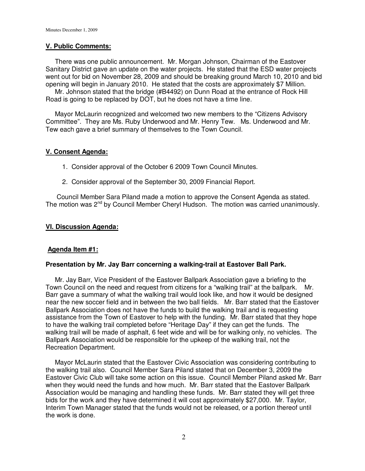## **V. Public Comments:**

 There was one public announcement. Mr. Morgan Johnson, Chairman of the Eastover Sanitary District gave an update on the water projects. He stated that the ESD water projects went out for bid on November 28, 2009 and should be breaking ground March 10, 2010 and bid opening will begin in January 2010. He stated that the costs are approximately \$7 Million.

 Mr. Johnson stated that the bridge (#B4492) on Dunn Road at the entrance of Rock Hill Road is going to be replaced by DOT, but he does not have a time line.

 Mayor McLaurin recognized and welcomed two new members to the "Citizens Advisory Committee". They are Ms. Ruby Underwood and Mr. Henry Tew. Ms. Underwood and Mr. Tew each gave a brief summary of themselves to the Town Council.

## **V. Consent Agenda:**

- 1. Consider approval of the October 6 2009 Town Council Minutes.
- 2. Consider approval of the September 30, 2009 Financial Report.

 Council Member Sara Piland made a motion to approve the Consent Agenda as stated. The motion was  $2^{nd}$  by Council Member Cheryl Hudson. The motion was carried unanimously.

## **VI. Discussion Agenda:**

## **Agenda Item #1:**

## **Presentation by Mr. Jay Barr concerning a walking-trail at Eastover Ball Park.**

 Mr. Jay Barr, Vice President of the Eastover Ballpark Association gave a briefing to the Town Council on the need and request from citizens for a "walking trail" at the ballpark. Mr. Barr gave a summary of what the walking trail would look like, and how it would be designed near the new soccer field and in between the two ball fields. Mr. Barr stated that the Eastover Ballpark Association does not have the funds to build the walking trail and is requesting assistance from the Town of Eastover to help with the funding. Mr. Barr stated that they hope to have the walking trail completed before "Heritage Day" if they can get the funds. The walking trail will be made of asphalt, 6 feet wide and will be for walking only, no vehicles. The Ballpark Association would be responsible for the upkeep of the walking trail, not the Recreation Department.

 Mayor McLaurin stated that the Eastover Civic Association was considering contributing to the walking trail also. Council Member Sara Piland stated that on December 3, 2009 the Eastover Civic Club will take some action on this issue. Council Member Piland asked Mr. Barr when they would need the funds and how much. Mr. Barr stated that the Eastover Ballpark Association would be managing and handling these funds. Mr. Barr stated they will get three bids for the work and they have determined it will cost approximately \$27,000. Mr. Taylor, Interim Town Manager stated that the funds would not be released, or a portion thereof until the work is done.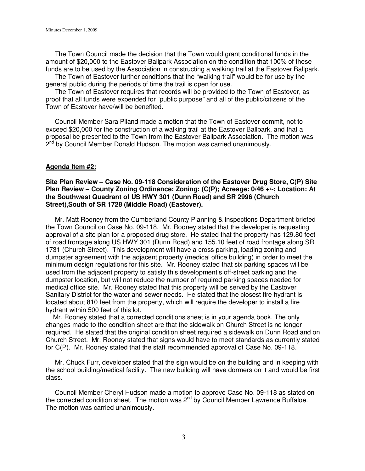The Town Council made the decision that the Town would grant conditional funds in the amount of \$20,000 to the Eastover Ballpark Association on the condition that 100% of these funds are to be used by the Association in constructing a walking trail at the Eastover Ballpark.

 The Town of Eastover further conditions that the "walking trail" would be for use by the general public during the periods of time the trail is open for use.

 The Town of Eastover requires that records will be provided to the Town of Eastover, as proof that all funds were expended for "public purpose" and all of the public/citizens of the Town of Eastover have/will be benefited.

 Council Member Sara Piland made a motion that the Town of Eastover commit, not to exceed \$20,000 for the construction of a walking trail at the Eastover Ballpark, and that a proposal be presented to the Town from the Eastover Ballpark Association. The motion was 2<sup>nd</sup> by Council Member Donald Hudson. The motion was carried unanimously.

## **Agenda Item #2:**

### **Site Plan Review – Case No. 09-118 Consideration of the Eastover Drug Store, C(P) Site Plan Review – County Zoning Ordinance: Zoning: (C(P); Acreage: 0/46 +/-; Location: At the Southwest Quadrant of US HWY 301 (Dunn Road) and SR 2996 (Church Street),South of SR 1728 (Middle Road) (Eastover).**

 Mr. Matt Rooney from the Cumberland County Planning & Inspections Department briefed the Town Council on Case No. 09-118. Mr. Rooney stated that the developer is requesting approval of a site plan for a proposed drug store. He stated that the property has 129.80 feet of road frontage along US HWY 301 (Dunn Road) and 155.10 feet of road frontage along SR 1731 (Church Street). This development will have a cross parking, loading zoning and dumpster agreement with the adjacent property (medical office building) in order to meet the minimum design regulations for this site. Mr. Rooney stated that six parking spaces will be used from the adjacent property to satisfy this development's off-street parking and the dumpster location, but will not reduce the number of required parking spaces needed for medical office site. Mr. Rooney stated that this property will be served by the Eastover Sanitary District for the water and sewer needs. He stated that the closest fire hydrant is located about 810 feet from the property, which will require the developer to install a fire hydrant within 500 feet of this lot.

 Mr. Rooney stated that a corrected conditions sheet is in your agenda book. The only changes made to the condition sheet are that the sidewalk on Church Street is no longer required. He stated that the original condition sheet required a sidewalk on Dunn Road and on Church Street. Mr. Rooney stated that signs would have to meet standards as currently stated for C(P). Mr. Rooney stated that the staff recommended approval of Case No. 09-118.

 Mr. Chuck Furr, developer stated that the sign would be on the building and in keeping with the school building/medical facility. The new building will have dormers on it and would be first class.

 Council Member Cheryl Hudson made a motion to approve Case No. 09-118 as stated on the corrected condition sheet. The motion was 2<sup>nd</sup> by Council Member Lawrence Buffaloe. The motion was carried unanimously.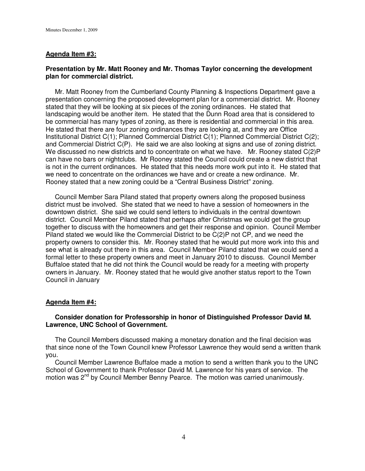# **Agenda Item #3:**

# **Presentation by Mr. Matt Rooney and Mr. Thomas Taylor concerning the development plan for commercial district.**

 Mr. Matt Rooney from the Cumberland County Planning & Inspections Department gave a presentation concerning the proposed development plan for a commercial district. Mr. Rooney stated that they will be looking at six pieces of the zoning ordinances. He stated that landscaping would be another item. He stated that the Dunn Road area that is considered to be commercial has many types of zoning, as there is residential and commercial in this area. He stated that there are four zoning ordinances they are looking at, and they are Office Institutional District C(1); Planned Commercial District C(1); Planned Commercial District C(2); and Commercial District C(P). He said we are also looking at signs and use of zoning district. We discussed no new districts and to concentrate on what we have. Mr. Rooney stated C(2)P can have no bars or nightclubs. Mr Rooney stated the Council could create a new district that is not in the current ordinances. He stated that this needs more work put into it. He stated that we need to concentrate on the ordinances we have and or create a new ordinance. Mr. Rooney stated that a new zoning could be a "Central Business District" zoning.

 Council Member Sara Piland stated that property owners along the proposed business district must be involved. She stated that we need to have a session of homeowners in the downtown district. She said we could send letters to individuals in the central downtown district. Council Member Piland stated that perhaps after Christmas we could get the group together to discuss with the homeowners and get their response and opinion. Council Member Piland stated we would like the Commercial District to be C(2)P not CP, and we need the property owners to consider this. Mr. Rooney stated that he would put more work into this and see what is already out there in this area. Council Member Piland stated that we could send a formal letter to these property owners and meet in January 2010 to discuss. Council Member Buffaloe stated that he did not think the Council would be ready for a meeting with property owners in January. Mr. Rooney stated that he would give another status report to the Town Council in January

## **Agenda Item #4:**

## **Consider donation for Professorship in honor of Distinguished Professor David M. Lawrence, UNC School of Government.**

 The Council Members discussed making a monetary donation and the final decision was that since none of the Town Council knew Professor Lawrence they would send a written thank you.

 Council Member Lawrence Buffaloe made a motion to send a written thank you to the UNC School of Government to thank Professor David M. Lawrence for his years of service. The motion was 2<sup>nd</sup> by Council Member Benny Pearce. The motion was carried unanimously.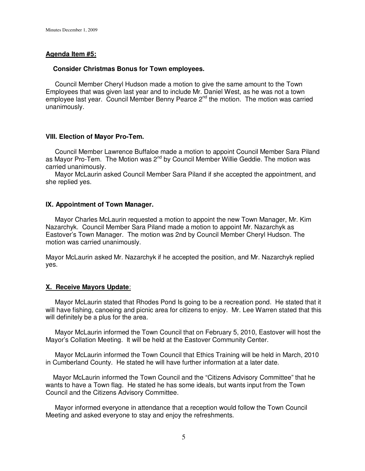## **Agenda Item #5:**

## **Consider Christmas Bonus for Town employees.**

Council Member Cheryl Hudson made a motion to give the same amount to the Town Employees that was given last year and to include Mr. Daniel West, as he was not a town employee last year. Council Member Benny Pearce  $2^{nd}$  the motion. The motion was carried unanimously.

#### **VIII. Election of Mayor Pro-Tem.**

 Council Member Lawrence Buffaloe made a motion to appoint Council Member Sara Piland as Mayor Pro-Tem. The Motion was 2<sup>nd</sup> by Council Member Willie Geddie. The motion was carried unanimously.

 Mayor McLaurin asked Council Member Sara Piland if she accepted the appointment, and she replied yes.

#### **IX. Appointment of Town Manager.**

 Mayor Charles McLaurin requested a motion to appoint the new Town Manager, Mr. Kim Nazarchyk. Council Member Sara Piland made a motion to appoint Mr. Nazarchyk as Eastover's Town Manager. The motion was 2nd by Council Member Cheryl Hudson. The motion was carried unanimously.

Mayor McLaurin asked Mr. Nazarchyk if he accepted the position, and Mr. Nazarchyk replied yes.

#### **X. Receive Mayors Update**:

 Mayor McLaurin stated that Rhodes Pond Is going to be a recreation pond. He stated that it will have fishing, canoeing and picnic area for citizens to enjoy. Mr. Lee Warren stated that this will definitely be a plus for the area.

 Mayor McLaurin informed the Town Council that on February 5, 2010, Eastover will host the Mayor's Collation Meeting. It will be held at the Eastover Community Center.

 Mayor McLaurin informed the Town Council that Ethics Training will be held in March, 2010 in Cumberland County. He stated he will have further information at a later date.

 Mayor McLaurin informed the Town Council and the "Citizens Advisory Committee" that he wants to have a Town flag. He stated he has some ideals, but wants input from the Town Council and the Citizens Advisory Committee.

 Mayor informed everyone in attendance that a reception would follow the Town Council Meeting and asked everyone to stay and enjoy the refreshments.